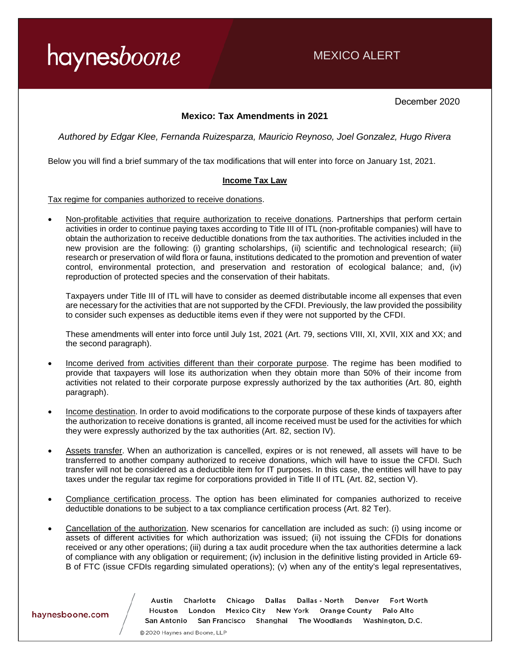### MEXICO ALERT

December 2020

#### **Mexico: Tax Amendments in 2021**

*Authored by Edgar Klee, Fernanda Ruizesparza, Mauricio Reynoso, Joel Gonzalez, Hugo Rivera*

Below you will find a brief summary of the tax modifications that will enter into force on January 1st, 2021.

#### **Income Tax Law**

Tax regime for companies authorized to receive donations.

• Non-profitable activities that require authorization to receive donations. Partnerships that perform certain activities in order to continue paying taxes according to Title III of ITL (non-profitable companies) will have to obtain the authorization to receive deductible donations from the tax authorities. The activities included in the new provision are the following: (i) granting scholarships, (ii) scientific and technological research; (iii) research or preservation of wild flora or fauna, institutions dedicated to the promotion and prevention of water control, environmental protection, and preservation and restoration of ecological balance; and, (iv) reproduction of protected species and the conservation of their habitats.

Taxpayers under Title III of ITL will have to consider as deemed distributable income all expenses that even are necessary for the activities that are not supported by the CFDI. Previously, the law provided the possibility to consider such expenses as deductible items even if they were not supported by the CFDI.

These amendments will enter into force until July 1st, 2021 (Art. 79, sections VIII, XI, XVII, XIX and XX; and the second paragraph).

- Income derived from activities different than their corporate purpose. The regime has been modified to provide that taxpayers will lose its authorization when they obtain more than 50% of their income from activities not related to their corporate purpose expressly authorized by the tax authorities (Art. 80, eighth paragraph).
- Income destination. In order to avoid modifications to the corporate purpose of these kinds of taxpayers after the authorization to receive donations is granted, all income received must be used for the activities for which they were expressly authorized by the tax authorities (Art. 82, section IV).
- Assets transfer. When an authorization is cancelled, expires or is not renewed, all assets will have to be transferred to another company authorized to receive donations, which will have to issue the CFDI. Such transfer will not be considered as a deductible item for IT purposes. In this case, the entities will have to pay taxes under the regular tax regime for corporations provided in Title II of ITL (Art. 82, section V).
- Compliance certification process. The option has been eliminated for companies authorized to receive deductible donations to be subject to a tax compliance certification process (Art. 82 Ter).
- Cancellation of the authorization. New scenarios for cancellation are included as such: (i) using income or assets of different activities for which authorization was issued; (ii) not issuing the CFDIs for donations received or any other operations; (iii) during a tax audit procedure when the tax authorities determine a lack of compliance with any obligation or requirement; (iv) inclusion in the definitive listing provided in Article 69- B of FTC (issue CFDIs regarding simulated operations); (v) when any of the entity's legal representatives,

Austin Charlotte Chicago Dallas Dallas - North Denver Fort Worth Houston London Mexico City New York Orange County Palo Alto San Antonio San Francisco Shanghai The Woodlands Washington, D.C.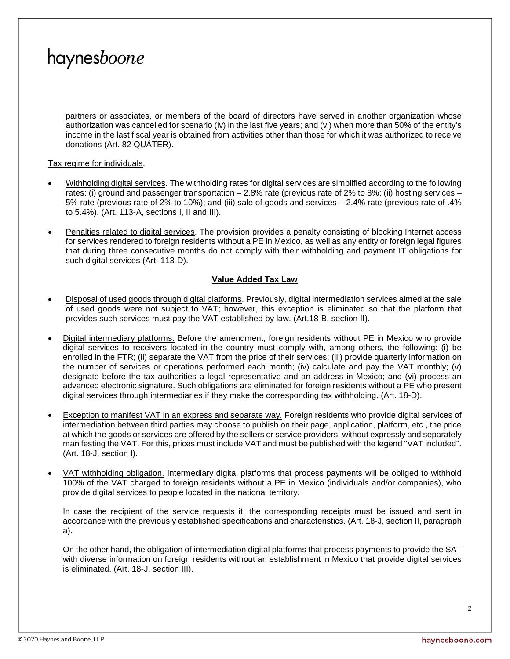partners or associates, or members of the board of directors have served in another organization whose authorization was cancelled for scenario (iv) in the last five years; and (vi) when more than 50% of the entity's income in the last fiscal year is obtained from activities other than those for which it was authorized to receive donations (Art. 82 QUÁTER).

#### Tax regime for individuals.

- Withholding digital services. The withholding rates for digital services are simplified according to the following rates: (i) ground and passenger transportation – 2.8% rate (previous rate of 2% to 8%; (ii) hosting services – 5% rate (previous rate of 2% to 10%); and (iii) sale of goods and services – 2.4% rate (previous rate of .4% to 5.4%). (Art. 113-A, sections I, II and III).
- Penalties related to digital services. The provision provides a penalty consisting of blocking Internet access for services rendered to foreign residents without a PE in Mexico, as well as any entity or foreign legal figures that during three consecutive months do not comply with their withholding and payment IT obligations for such digital services (Art. 113-D).

#### **Value Added Tax Law**

- Disposal of used goods through digital platforms. Previously, digital intermediation services aimed at the sale of used goods were not subject to VAT; however, this exception is eliminated so that the platform that provides such services must pay the VAT established by law. (Art.18-B, section II).
- Digital intermediary platforms. Before the amendment, foreign residents without PE in Mexico who provide digital services to receivers located in the country must comply with, among others, the following: (i) be enrolled in the FTR; (ii) separate the VAT from the price of their services; (iii) provide quarterly information on the number of services or operations performed each month; (iv) calculate and pay the VAT monthly; (v) designate before the tax authorities a legal representative and an address in Mexico; and (vi) process an advanced electronic signature. Such obligations are eliminated for foreign residents without a PE who present digital services through intermediaries if they make the corresponding tax withholding. (Art. 18-D).
- Exception to manifest VAT in an express and separate way. Foreign residents who provide digital services of intermediation between third parties may choose to publish on their page, application, platform, etc., the price at which the goods or services are offered by the sellers or service providers, without expressly and separately manifesting the VAT. For this, prices must include VAT and must be published with the legend "VAT included". (Art. 18-J, section I).
- VAT withholding obligation. Intermediary digital platforms that process payments will be obliged to withhold 100% of the VAT charged to foreign residents without a PE in Mexico (individuals and/or companies), who provide digital services to people located in the national territory.

In case the recipient of the service requests it, the corresponding receipts must be issued and sent in accordance with the previously established specifications and characteristics. (Art. 18-J, section II, paragraph a).

On the other hand, the obligation of intermediation digital platforms that process payments to provide the SAT with diverse information on foreign residents without an establishment in Mexico that provide digital services is eliminated. (Art. 18-J, section III).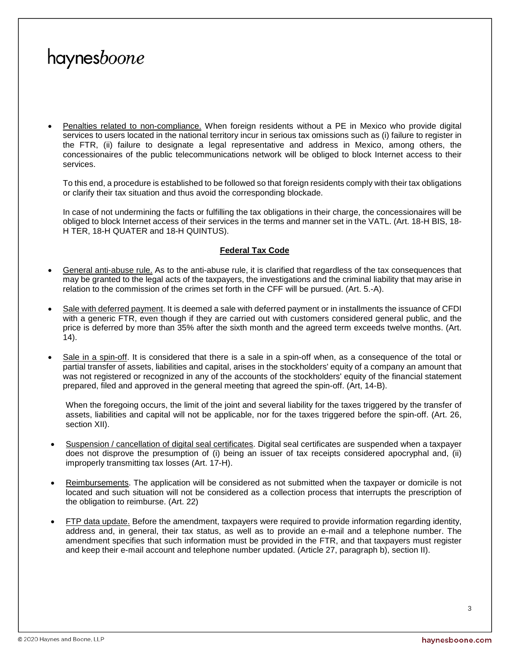• Penalties related to non-compliance. When foreign residents without a PE in Mexico who provide digital services to users located in the national territory incur in serious tax omissions such as (i) failure to register in the FTR, (ii) failure to designate a legal representative and address in Mexico, among others, the concessionaires of the public telecommunications network will be obliged to block Internet access to their services.

To this end, a procedure is established to be followed so that foreign residents comply with their tax obligations or clarify their tax situation and thus avoid the corresponding blockade.

In case of not undermining the facts or fulfilling the tax obligations in their charge, the concessionaires will be obliged to block Internet access of their services in the terms and manner set in the VATL. (Art. 18-H BIS, 18- H TER, 18-H QUATER and 18-H QUINTUS).

#### **Federal Tax Code**

- General anti-abuse rule. As to the anti-abuse rule, it is clarified that regardless of the tax consequences that may be granted to the legal acts of the taxpayers, the investigations and the criminal liability that may arise in relation to the commission of the crimes set forth in the CFF will be pursued. (Art. 5.-A).
- Sale with deferred payment. It is deemed a sale with deferred payment or in installments the issuance of CFDI with a generic FTR, even though if they are carried out with customers considered general public, and the price is deferred by more than 35% after the sixth month and the agreed term exceeds twelve months. (Art. 14).
- Sale in a spin-off. It is considered that there is a sale in a spin-off when, as a consequence of the total or partial transfer of assets, liabilities and capital, arises in the stockholders' equity of a company an amount that was not registered or recognized in any of the accounts of the stockholders' equity of the financial statement prepared, filed and approved in the general meeting that agreed the spin-off. (Art, 14-B).

When the foregoing occurs, the limit of the joint and several liability for the taxes triggered by the transfer of assets, liabilities and capital will not be applicable, nor for the taxes triggered before the spin-off. (Art. 26, section XII).

- Suspension / cancellation of digital seal certificates. Digital seal certificates are suspended when a taxpayer does not disprove the presumption of (i) being an issuer of tax receipts considered apocryphal and, (ii) improperly transmitting tax losses (Art. 17-H).
- Reimbursements. The application will be considered as not submitted when the taxpayer or domicile is not located and such situation will not be considered as a collection process that interrupts the prescription of the obligation to reimburse. (Art. 22)
- FTP data update. Before the amendment, taxpayers were required to provide information regarding identity, address and, in general, their tax status, as well as to provide an e-mail and a telephone number. The amendment specifies that such information must be provided in the FTR, and that taxpayers must register and keep their e-mail account and telephone number updated. (Article 27, paragraph b), section II).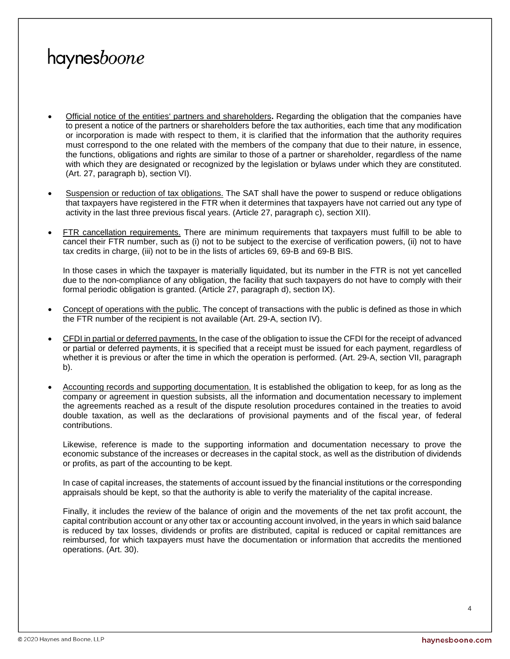- Official notice of the entities' partners and shareholders**.** Regarding the obligation that the companies have to present a notice of the partners or shareholders before the tax authorities, each time that any modification or incorporation is made with respect to them, it is clarified that the information that the authority requires must correspond to the one related with the members of the company that due to their nature, in essence, the functions, obligations and rights are similar to those of a partner or shareholder, regardless of the name with which they are designated or recognized by the legislation or bylaws under which they are constituted. (Art. 27, paragraph b), section VI).
- Suspension or reduction of tax obligations. The SAT shall have the power to suspend or reduce obligations that taxpayers have registered in the FTR when it determines that taxpayers have not carried out any type of activity in the last three previous fiscal years. (Article 27, paragraph c), section XII).
- FTR cancellation requirements. There are minimum requirements that taxpayers must fulfill to be able to cancel their FTR number, such as (i) not to be subject to the exercise of verification powers, (ii) not to have tax credits in charge, (iii) not to be in the lists of articles 69, 69-B and 69-B BIS.

In those cases in which the taxpayer is materially liquidated, but its number in the FTR is not yet cancelled due to the non-compliance of any obligation, the facility that such taxpayers do not have to comply with their formal periodic obligation is granted. (Article 27, paragraph d), section IX).

- Concept of operations with the public. The concept of transactions with the public is defined as those in which the FTR number of the recipient is not available (Art. 29-A, section IV).
- CFDI in partial or deferred payments. In the case of the obligation to issue the CFDI for the receipt of advanced or partial or deferred payments, it is specified that a receipt must be issued for each payment, regardless of whether it is previous or after the time in which the operation is performed. (Art. 29-A, section VII, paragraph b).
- Accounting records and supporting documentation. It is established the obligation to keep, for as long as the company or agreement in question subsists, all the information and documentation necessary to implement the agreements reached as a result of the dispute resolution procedures contained in the treaties to avoid double taxation, as well as the declarations of provisional payments and of the fiscal year, of federal contributions.

Likewise, reference is made to the supporting information and documentation necessary to prove the economic substance of the increases or decreases in the capital stock, as well as the distribution of dividends or profits, as part of the accounting to be kept.

In case of capital increases, the statements of account issued by the financial institutions or the corresponding appraisals should be kept, so that the authority is able to verify the materiality of the capital increase.

Finally, it includes the review of the balance of origin and the movements of the net tax profit account, the capital contribution account or any other tax or accounting account involved, in the years in which said balance is reduced by tax losses, dividends or profits are distributed, capital is reduced or capital remittances are reimbursed, for which taxpayers must have the documentation or information that accredits the mentioned operations. (Art. 30).